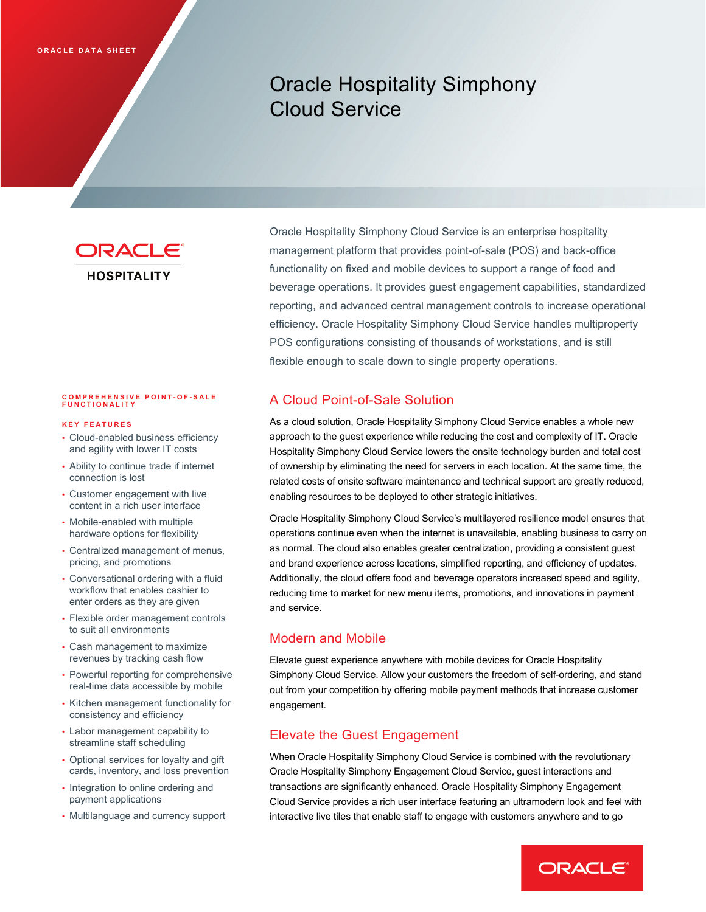# Oracle Hospitality Simphony Cloud Service

ORACLE **HOSPITALITY** 

## **COMPREHENSIVE POINT - O F - SALE FUNCTIONALITY**

#### **KEY FEATURES**

- Cloud-enabled business efficiency and agility with lower IT costs
- Ability to continue trade if internet connection is lost
- Customer engagement with live content in a rich user interface
- Mobile-enabled with multiple hardware options for flexibility
- Centralized management of menus, pricing, and promotions
- Conversational ordering with a fluid workflow that enables cashier to enter orders as they are given
- Flexible order management controls to suit all environments
- Cash management to maximize revenues by tracking cash flow
- Powerful reporting for comprehensive real-time data accessible by mobile
- Kitchen management functionality for consistency and efficiency
- Labor management capability to streamline staff scheduling
- Optional services for loyalty and gift cards, inventory, and loss prevention
- Integration to online ordering and payment applications
- Multilanguage and currency support

Oracle Hospitality Simphony Cloud Service is an enterprise hospitality management platform that provides point-of-sale (POS) and back-office functionality on fixed and mobile devices to support a range of food and beverage operations. It provides guest engagement capabilities, standardized reporting, and advanced central management controls to increase operational efficiency. Oracle Hospitality Simphony Cloud Service handles multiproperty POS configurations consisting of thousands of workstations, and is still flexible enough to scale down to single property operations.

## A Cloud Point-of-Sale Solution

As a cloud solution, Oracle Hospitality Simphony Cloud Service enables a whole new approach to the guest experience while reducing the cost and complexity of IT. Oracle Hospitality Simphony Cloud Service lowers the onsite technology burden and total cost of ownership by eliminating the need for servers in each location. At the same time, the related costs of onsite software maintenance and technical support are greatly reduced, enabling resources to be deployed to other strategic initiatives.

Oracle Hospitality Simphony Cloud Service's multilayered resilience model ensures that operations continue even when the internet is unavailable, enabling business to carry on as normal. The cloud also enables greater centralization, providing a consistent guest and brand experience across locations, simplified reporting, and efficiency of updates. Additionally, the cloud offers food and beverage operators increased speed and agility, reducing time to market for new menu items, promotions, and innovations in payment and service.

#### Modern and Mobile

Elevate guest experience anywhere with mobile devices for Oracle Hospitality Simphony Cloud Service. Allow your customers the freedom of self-ordering, and stand out from your competition by offering mobile payment methods that increase customer engagement.

#### Elevate the Guest Engagement

When Oracle Hospitality Simphony Cloud Service is combined with the revolutionary Oracle Hospitality Simphony Engagement Cloud Service, guest interactions and transactions are significantly enhanced. Oracle Hospitality Simphony Engagement Cloud Service provides a rich user interface featuring an ultramodern look and feel with interactive live tiles that enable staff to engage with customers anywhere and to go

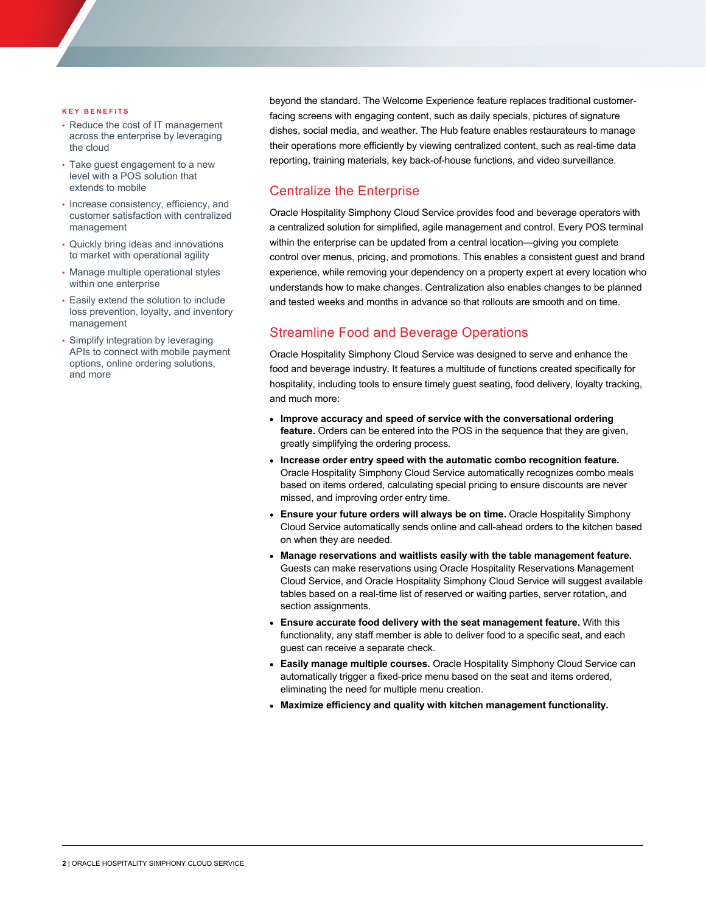#### **KEY BENEFITS**

- Reduce the cost of IT management across the enterprise by leveraging the cloud
- Take guest engagement to a new level with a POS solution that extends to mobile
- Increase consistency, efficiency, and customer satisfaction with centralized management
- Quickly bring ideas and innovations to market with operational agility
- Manage multiple operational styles within one enterprise
- Easily extend the solution to include loss prevention, loyalty, and inventory management
- Simplify integration by leveraging APIs to connect with mobile payment options, online ordering solutions, and more

beyond the standard. The Welcome Experience feature replaces traditional customerfacing screens with engaging content, such as daily specials, pictures of signature dishes, social media, and weather. The Hub feature enables restaurateurs to manage their operations more efficiently by viewing centralized content, such as real-time data reporting, training materials, key back-of-house functions, and video surveillance.

### Centralize the Enterprise

Oracle Hospitality Simphony Cloud Service provides food and beverage operators with a centralized solution for simplified, agile management and control. Every POS terminal within the enterprise can be updated from a central location—giving you complete control over menus, pricing, and promotions. This enables a consistent guest and brand experience, while removing your dependency on a property expert at every location who understands how to make changes. Centralization also enables changes to be planned and tested weeks and months in advance so that rollouts are smooth and on time.

## Streamline Food and Beverage Operations

Oracle Hospitality Simphony Cloud Service was designed to serve and enhance the food and beverage industry. It features a multitude of functions created specifically for hospitality, including tools to ensure timely guest seating, food delivery, loyalty tracking, and much more:

- **Improve accuracy and speed of service with the conversational ordering feature.** Orders can be entered into the POS in the sequence that they are given, greatly simplifying the ordering process.
- **Increase order entry speed with the automatic combo recognition feature.** Oracle Hospitality Simphony Cloud Service automatically recognizes combo meals based on items ordered, calculating special pricing to ensure discounts are never missed, and improving order entry time.
- **Ensure your future orders will always be on time.** Oracle Hospitality Simphony Cloud Service automatically sends online and call-ahead orders to the kitchen based on when they are needed.
- **Manage reservations and waitlists easily with the table management feature.** Guests can make reservations using Oracle Hospitality Reservations Management Cloud Service, and Oracle Hospitality Simphony Cloud Service will suggest available tables based on a real-time list of reserved or waiting parties, server rotation, and section assignments.
- **Ensure accurate food delivery with the seat management feature.** With this functionality, any staff member is able to deliver food to a specific seat, and each guest can receive a separate check.
- **Easily manage multiple courses.** Oracle Hospitality Simphony Cloud Service can automatically trigger a fixed-price menu based on the seat and items ordered, eliminating the need for multiple menu creation.
- **Maximize efficiency and quality with kitchen management functionality.**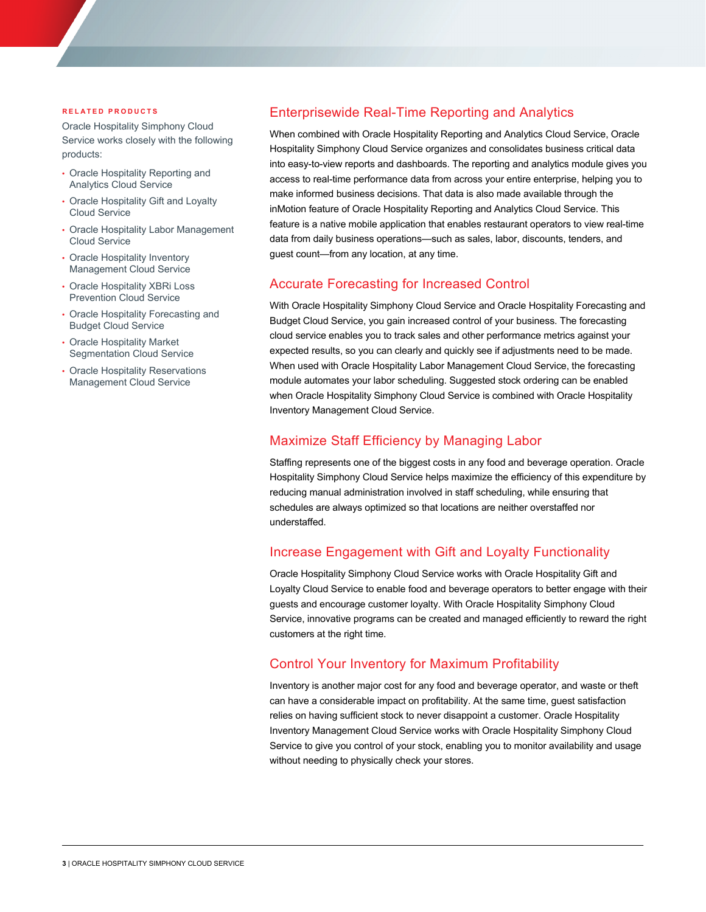#### **RELATED PRODUCTS**

Oracle Hospitality Simphony Cloud Service works closely with the following products:

- Oracle Hospitality Reporting and Analytics Cloud Service
- Oracle Hospitality Gift and Loyalty Cloud Service
- Oracle Hospitality Labor Management Cloud Service
- Oracle Hospitality Inventory Management Cloud Service
- Oracle Hospitality XBRi Loss Prevention Cloud Service
- Oracle Hospitality Forecasting and Budget Cloud Service
- Oracle Hospitality Market Segmentation Cloud Service
- **Oracle Hospitality Reservations** Management Cloud Service

## Enterprisewide Real-Time Reporting and Analytics

When combined with Oracle Hospitality Reporting and Analytics Cloud Service, Oracle Hospitality Simphony Cloud Service organizes and consolidates business critical data into easy-to-view reports and dashboards. The reporting and analytics module gives you access to real-time performance data from across your entire enterprise, helping you to make informed business decisions. That data is also made available through the inMotion feature of Oracle Hospitality Reporting and Analytics Cloud Service. This feature is a native mobile application that enables restaurant operators to view real-time data from daily business operations—such as sales, labor, discounts, tenders, and guest count—from any location, at any time.

#### Accurate Forecasting for Increased Control

With Oracle Hospitality Simphony Cloud Service and Oracle Hospitality Forecasting and Budget Cloud Service, you gain increased control of your business. The forecasting cloud service enables you to track sales and other performance metrics against your expected results, so you can clearly and quickly see if adjustments need to be made. When used with Oracle Hospitality Labor Management Cloud Service, the forecasting module automates your labor scheduling. Suggested stock ordering can be enabled when Oracle Hospitality Simphony Cloud Service is combined with Oracle Hospitality Inventory Management Cloud Service.

#### Maximize Staff Efficiency by Managing Labor

Staffing represents one of the biggest costs in any food and beverage operation. Oracle Hospitality Simphony Cloud Service helps maximize the efficiency of this expenditure by reducing manual administration involved in staff scheduling, while ensuring that schedules are always optimized so that locations are neither overstaffed nor understaffed.

#### Increase Engagement with Gift and Loyalty Functionality

Oracle Hospitality Simphony Cloud Service works with Oracle Hospitality Gift and Loyalty Cloud Service to enable food and beverage operators to better engage with their guests and encourage customer loyalty. With Oracle Hospitality Simphony Cloud Service, innovative programs can be created and managed efficiently to reward the right customers at the right time.

#### Control Your Inventory for Maximum Profitability

Inventory is another major cost for any food and beverage operator, and waste or theft can have a considerable impact on profitability. At the same time, guest satisfaction relies on having sufficient stock to never disappoint a customer. Oracle Hospitality Inventory Management Cloud Service works with Oracle Hospitality Simphony Cloud Service to give you control of your stock, enabling you to monitor availability and usage without needing to physically check your stores.